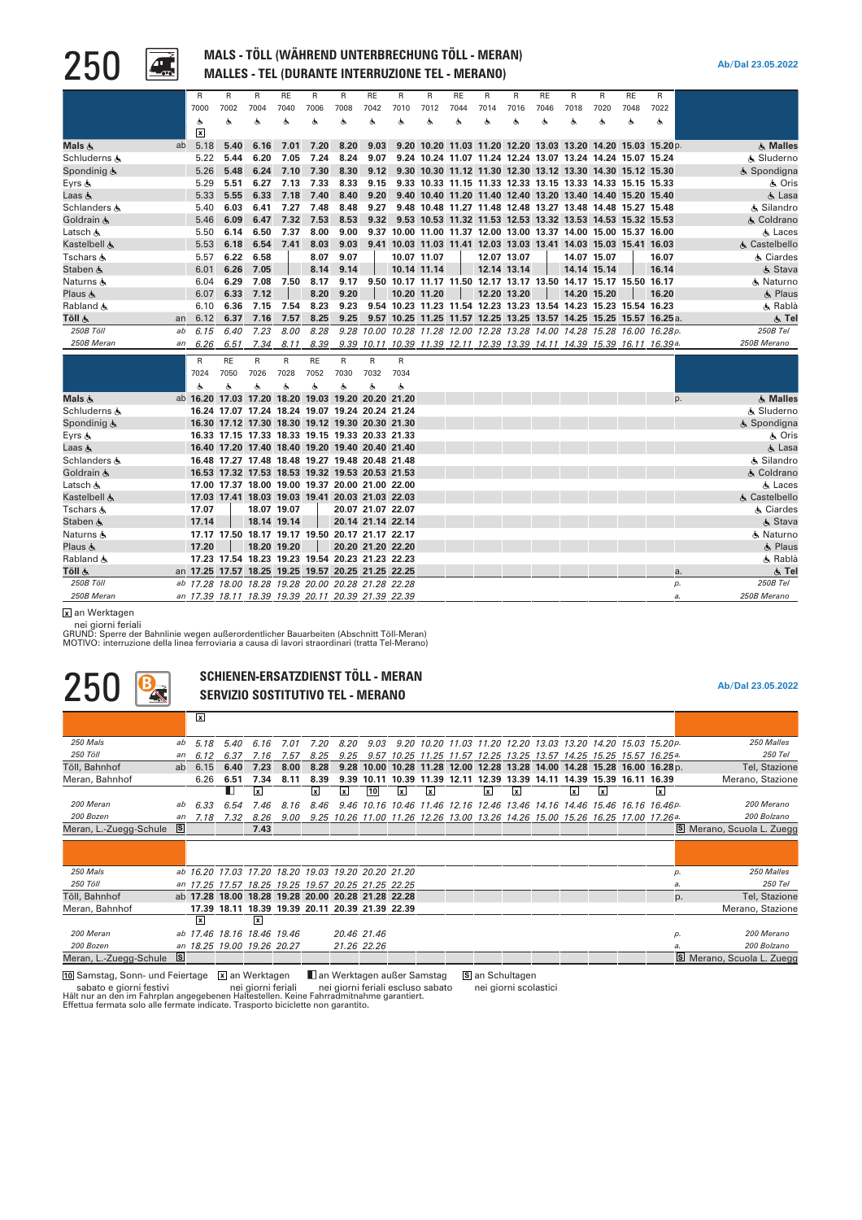

## **250 COMPUTER MALS - TÖLL (WÄHREND UNTERBRECHUNG TÖLL - MERAN)**<br>MALLES - TEL (DURANTE INTERRUZIONE TEL - MERANO) **MALLES - TEL (DURANTE INTERRUZIONE TEL - MERANO)**

**Ab/Dal 23.05.2022**

| 7000<br>7002<br>7004<br>7040<br>7006<br>7008<br>7042<br>7010<br>7012<br>7044<br>7014<br>7016<br>7046<br>7018<br>7020<br>7048<br>7022<br>Ġ.<br>Ġ.<br>Ġ.<br>Ġ.<br>Ġ.<br>Ġ.<br>杰<br>Ġ.<br>Ġ<br>Ġ<br>Ġ.<br>Ġ.<br>Ġ.<br>Ġ<br>Ġ.<br>Ġ.<br>Ġ.<br>$\overline{\mathbf{x}}$<br>Mals &<br>ab<br>5.18<br>5.40<br>6.16<br>7.01<br>7.20<br>8.20<br>9.03<br>9.20 10.20 11.03 11.20 12.20 13.03 13.20 14.20 15.03 15.20p.<br>5.22<br>5.44<br>6.20<br>7.24<br>8.24<br>9.07<br>9.24 10.24 11.07 11.24 12.24 13.07 13.24 14.24 15.07 15.24<br>Schluderns &<br>7.05<br>5.26<br>Spondinig &<br>5.48<br>6.24<br>7.10<br>7.30<br>8.30<br>9.12<br>9.30 10.30 11.12 11.30 12.30 13.12 13.30 14.30 15.12 15.30<br>7.13<br>Eyrs &<br>5.29<br>5.51<br>6.27<br>7.33<br>8.33<br>9.15<br>9.33 10.33 11.15 11.33 12.33 13.15 13.33 14.33 15.15 15.33<br>5.55<br>6.33<br>7.18<br>7.40<br>9.40 10.40 11.20 11.40 12.40 13.20 13.40 14.40 15.20 15.40<br>Laas &<br>5.33<br>8.40<br>9.20<br>6.03<br>6.41<br>7.27<br>7.48<br>8.48<br>9.27<br>9.48 10.48 11.27 11.48 12.48 13.27 13.48 14.48 15.27 15.48<br>Schlanders &<br>5.40<br>Goldrain &<br>5.46<br>6.09<br>6.47<br>7.32<br>7.53<br>8.53<br>9.32<br>9.53 10.53 11.32 11.53 12.53 13.32 13.53 14.53 15.32 15.53<br>6.50<br>Latsch &<br>6.14<br>7.37<br>8.00<br>9.00<br>9.37 10.00 11.00 11.37 12.00 13.00 13.37 14.00 15.00 15.37 16.00<br>5.50<br>Kastelbell &<br>6.18<br>6.54<br>7.41<br>8.03<br>9.03<br>9.41 10.03 11.03 11.41 12.03 13.03 13.41 14.03 15.03 15.41 16.03<br>5.53<br>6.22<br>6.58<br>9.07<br>12.07 13.07<br>Tschars &<br>5.57<br>8.07<br>10.07 11.07<br>14.07 15.07<br>16.07<br>12.14 13.14<br>Staben 点<br>6.01<br>6.26<br>7.05<br>8.14<br>9.14<br>10.14 11.14<br>14.14 15.14<br>16.14<br>Naturns &<br>6.29<br>7.08<br>7.50<br>8.17<br>9.50 10.17 11.17 11.50 12.17 13.17 13.50 14.17 15.17 15.50 16.17<br>6.04<br>9.17<br>Plaus &<br>6.33<br>7.12<br>8.20<br>9.20<br>10.20 11.20<br>12.20 13.20<br>14.20 15.20<br>16.20<br>6.07<br>Rabland &<br>6.10<br>6.36<br>7.15<br>7.54<br>8.23<br>9.23<br>9.54 10.23 11.23 11.54 12.23 13.23 13.54 14.23 15.23 15.54 16.23<br>Töll &<br>6.12<br>6.37<br>7.16<br>8.25<br>9.25<br>9.57 10.25 11.25 11.57 12.25 13.25 13.57 14.25 15.25 15.57 16.25 a.<br>7.57<br>an |  | $\mathsf{R}$ | R | $\mathsf{R}$ | <b>RE</b> | $\overline{R}$ | $\mathsf{R}$ | <b>RE</b> | $\mathsf{R}$ | $\mathsf{R}$ | <b>RE</b> | R | $\mathsf{R}$ | <b>RE</b> | $\mathsf{R}$ | R | <b>RE</b> | $\mathsf R$ |               |
|-------------------------------------------------------------------------------------------------------------------------------------------------------------------------------------------------------------------------------------------------------------------------------------------------------------------------------------------------------------------------------------------------------------------------------------------------------------------------------------------------------------------------------------------------------------------------------------------------------------------------------------------------------------------------------------------------------------------------------------------------------------------------------------------------------------------------------------------------------------------------------------------------------------------------------------------------------------------------------------------------------------------------------------------------------------------------------------------------------------------------------------------------------------------------------------------------------------------------------------------------------------------------------------------------------------------------------------------------------------------------------------------------------------------------------------------------------------------------------------------------------------------------------------------------------------------------------------------------------------------------------------------------------------------------------------------------------------------------------------------------------------------------------------------------------------------------------------------------------------------------------------------------------------------------------------------------------------------------------------------------------------------------------------------------------------------------------------------------------------------------------------------------------------------------------------------------------------------------------------------|--|--------------|---|--------------|-----------|----------------|--------------|-----------|--------------|--------------|-----------|---|--------------|-----------|--------------|---|-----------|-------------|---------------|
|                                                                                                                                                                                                                                                                                                                                                                                                                                                                                                                                                                                                                                                                                                                                                                                                                                                                                                                                                                                                                                                                                                                                                                                                                                                                                                                                                                                                                                                                                                                                                                                                                                                                                                                                                                                                                                                                                                                                                                                                                                                                                                                                                                                                                                           |  |              |   |              |           |                |              |           |              |              |           |   |              |           |              |   |           |             |               |
|                                                                                                                                                                                                                                                                                                                                                                                                                                                                                                                                                                                                                                                                                                                                                                                                                                                                                                                                                                                                                                                                                                                                                                                                                                                                                                                                                                                                                                                                                                                                                                                                                                                                                                                                                                                                                                                                                                                                                                                                                                                                                                                                                                                                                                           |  |              |   |              |           |                |              |           |              |              |           |   |              |           |              |   |           |             |               |
|                                                                                                                                                                                                                                                                                                                                                                                                                                                                                                                                                                                                                                                                                                                                                                                                                                                                                                                                                                                                                                                                                                                                                                                                                                                                                                                                                                                                                                                                                                                                                                                                                                                                                                                                                                                                                                                                                                                                                                                                                                                                                                                                                                                                                                           |  |              |   |              |           |                |              |           |              |              |           |   |              |           |              |   |           |             |               |
|                                                                                                                                                                                                                                                                                                                                                                                                                                                                                                                                                                                                                                                                                                                                                                                                                                                                                                                                                                                                                                                                                                                                                                                                                                                                                                                                                                                                                                                                                                                                                                                                                                                                                                                                                                                                                                                                                                                                                                                                                                                                                                                                                                                                                                           |  |              |   |              |           |                |              |           |              |              |           |   |              |           |              |   |           |             | க் Malles     |
|                                                                                                                                                                                                                                                                                                                                                                                                                                                                                                                                                                                                                                                                                                                                                                                                                                                                                                                                                                                                                                                                                                                                                                                                                                                                                                                                                                                                                                                                                                                                                                                                                                                                                                                                                                                                                                                                                                                                                                                                                                                                                                                                                                                                                                           |  |              |   |              |           |                |              |           |              |              |           |   |              |           |              |   |           |             | & Sluderno    |
|                                                                                                                                                                                                                                                                                                                                                                                                                                                                                                                                                                                                                                                                                                                                                                                                                                                                                                                                                                                                                                                                                                                                                                                                                                                                                                                                                                                                                                                                                                                                                                                                                                                                                                                                                                                                                                                                                                                                                                                                                                                                                                                                                                                                                                           |  |              |   |              |           |                |              |           |              |              |           |   |              |           |              |   |           |             | & Spondigna   |
|                                                                                                                                                                                                                                                                                                                                                                                                                                                                                                                                                                                                                                                                                                                                                                                                                                                                                                                                                                                                                                                                                                                                                                                                                                                                                                                                                                                                                                                                                                                                                                                                                                                                                                                                                                                                                                                                                                                                                                                                                                                                                                                                                                                                                                           |  |              |   |              |           |                |              |           |              |              |           |   |              |           |              |   |           |             | க் Oris       |
|                                                                                                                                                                                                                                                                                                                                                                                                                                                                                                                                                                                                                                                                                                                                                                                                                                                                                                                                                                                                                                                                                                                                                                                                                                                                                                                                                                                                                                                                                                                                                                                                                                                                                                                                                                                                                                                                                                                                                                                                                                                                                                                                                                                                                                           |  |              |   |              |           |                |              |           |              |              |           |   |              |           |              |   |           |             | க் Lasa       |
|                                                                                                                                                                                                                                                                                                                                                                                                                                                                                                                                                                                                                                                                                                                                                                                                                                                                                                                                                                                                                                                                                                                                                                                                                                                                                                                                                                                                                                                                                                                                                                                                                                                                                                                                                                                                                                                                                                                                                                                                                                                                                                                                                                                                                                           |  |              |   |              |           |                |              |           |              |              |           |   |              |           |              |   |           |             | & Silandro    |
|                                                                                                                                                                                                                                                                                                                                                                                                                                                                                                                                                                                                                                                                                                                                                                                                                                                                                                                                                                                                                                                                                                                                                                                                                                                                                                                                                                                                                                                                                                                                                                                                                                                                                                                                                                                                                                                                                                                                                                                                                                                                                                                                                                                                                                           |  |              |   |              |           |                |              |           |              |              |           |   |              |           |              |   |           |             | & Coldrano    |
|                                                                                                                                                                                                                                                                                                                                                                                                                                                                                                                                                                                                                                                                                                                                                                                                                                                                                                                                                                                                                                                                                                                                                                                                                                                                                                                                                                                                                                                                                                                                                                                                                                                                                                                                                                                                                                                                                                                                                                                                                                                                                                                                                                                                                                           |  |              |   |              |           |                |              |           |              |              |           |   |              |           |              |   |           |             | க் Laces      |
|                                                                                                                                                                                                                                                                                                                                                                                                                                                                                                                                                                                                                                                                                                                                                                                                                                                                                                                                                                                                                                                                                                                                                                                                                                                                                                                                                                                                                                                                                                                                                                                                                                                                                                                                                                                                                                                                                                                                                                                                                                                                                                                                                                                                                                           |  |              |   |              |           |                |              |           |              |              |           |   |              |           |              |   |           |             | & Castelbello |
|                                                                                                                                                                                                                                                                                                                                                                                                                                                                                                                                                                                                                                                                                                                                                                                                                                                                                                                                                                                                                                                                                                                                                                                                                                                                                                                                                                                                                                                                                                                                                                                                                                                                                                                                                                                                                                                                                                                                                                                                                                                                                                                                                                                                                                           |  |              |   |              |           |                |              |           |              |              |           |   |              |           |              |   |           |             | & Ciardes     |
|                                                                                                                                                                                                                                                                                                                                                                                                                                                                                                                                                                                                                                                                                                                                                                                                                                                                                                                                                                                                                                                                                                                                                                                                                                                                                                                                                                                                                                                                                                                                                                                                                                                                                                                                                                                                                                                                                                                                                                                                                                                                                                                                                                                                                                           |  |              |   |              |           |                |              |           |              |              |           |   |              |           |              |   |           |             | & Stava       |
|                                                                                                                                                                                                                                                                                                                                                                                                                                                                                                                                                                                                                                                                                                                                                                                                                                                                                                                                                                                                                                                                                                                                                                                                                                                                                                                                                                                                                                                                                                                                                                                                                                                                                                                                                                                                                                                                                                                                                                                                                                                                                                                                                                                                                                           |  |              |   |              |           |                |              |           |              |              |           |   |              |           |              |   |           |             | க் Naturno    |
|                                                                                                                                                                                                                                                                                                                                                                                                                                                                                                                                                                                                                                                                                                                                                                                                                                                                                                                                                                                                                                                                                                                                                                                                                                                                                                                                                                                                                                                                                                                                                                                                                                                                                                                                                                                                                                                                                                                                                                                                                                                                                                                                                                                                                                           |  |              |   |              |           |                |              |           |              |              |           |   |              |           |              |   |           |             | & Plaus       |
|                                                                                                                                                                                                                                                                                                                                                                                                                                                                                                                                                                                                                                                                                                                                                                                                                                                                                                                                                                                                                                                                                                                                                                                                                                                                                                                                                                                                                                                                                                                                                                                                                                                                                                                                                                                                                                                                                                                                                                                                                                                                                                                                                                                                                                           |  |              |   |              |           |                |              |           |              |              |           |   |              |           |              |   |           |             | க் Rablà      |
|                                                                                                                                                                                                                                                                                                                                                                                                                                                                                                                                                                                                                                                                                                                                                                                                                                                                                                                                                                                                                                                                                                                                                                                                                                                                                                                                                                                                                                                                                                                                                                                                                                                                                                                                                                                                                                                                                                                                                                                                                                                                                                                                                                                                                                           |  |              |   |              |           |                |              |           |              |              |           |   |              |           |              |   |           |             | க் Tel        |
| <b>250B Töll</b><br>7.23<br>9.28 10.00 10.28 11.28 12.00 12.28 13.28 14.00 14.28 15.28 16.00 16.28p.<br>6.15<br>6.40<br>8.00<br>8.28<br>ab                                                                                                                                                                                                                                                                                                                                                                                                                                                                                                                                                                                                                                                                                                                                                                                                                                                                                                                                                                                                                                                                                                                                                                                                                                                                                                                                                                                                                                                                                                                                                                                                                                                                                                                                                                                                                                                                                                                                                                                                                                                                                                |  |              |   |              |           |                |              |           |              |              |           |   |              |           |              |   |           |             | 250B Tel      |
| 250B Meran<br>250B Merano<br>6.26<br>6.51<br>7.34<br>8.11<br>8.39<br>9.39 10.11 10.39 11.39 12.11 12.39 13.39 14.11 14.39 15.39 16.11 16.39a.<br>an                                                                                                                                                                                                                                                                                                                                                                                                                                                                                                                                                                                                                                                                                                                                                                                                                                                                                                                                                                                                                                                                                                                                                                                                                                                                                                                                                                                                                                                                                                                                                                                                                                                                                                                                                                                                                                                                                                                                                                                                                                                                                       |  |              |   |              |           |                |              |           |              |              |           |   |              |           |              |   |           |             |               |
| $\mathsf{R}$<br><b>RE</b><br>R<br>R<br><b>RE</b><br>R<br>$\mathsf{R}$<br>$\mathsf R$                                                                                                                                                                                                                                                                                                                                                                                                                                                                                                                                                                                                                                                                                                                                                                                                                                                                                                                                                                                                                                                                                                                                                                                                                                                                                                                                                                                                                                                                                                                                                                                                                                                                                                                                                                                                                                                                                                                                                                                                                                                                                                                                                      |  |              |   |              |           |                |              |           |              |              |           |   |              |           |              |   |           |             |               |
| 7026<br>7030<br>7032<br>7034<br>7024<br>7050<br>7028<br>7052                                                                                                                                                                                                                                                                                                                                                                                                                                                                                                                                                                                                                                                                                                                                                                                                                                                                                                                                                                                                                                                                                                                                                                                                                                                                                                                                                                                                                                                                                                                                                                                                                                                                                                                                                                                                                                                                                                                                                                                                                                                                                                                                                                              |  |              |   |              |           |                |              |           |              |              |           |   |              |           |              |   |           |             |               |
| Ġ.<br>杰<br>Ġ.<br>Á.<br>Ġ.<br>Ġ.<br>Á.<br>齿                                                                                                                                                                                                                                                                                                                                                                                                                                                                                                                                                                                                                                                                                                                                                                                                                                                                                                                                                                                                                                                                                                                                                                                                                                                                                                                                                                                                                                                                                                                                                                                                                                                                                                                                                                                                                                                                                                                                                                                                                                                                                                                                                                                                |  |              |   |              |           |                |              |           |              |              |           |   |              |           |              |   |           |             |               |
| Mals &<br>ab 16.20 17.03 17.20 18.20 19.03 19.20 20.20 21.20<br>p.                                                                                                                                                                                                                                                                                                                                                                                                                                                                                                                                                                                                                                                                                                                                                                                                                                                                                                                                                                                                                                                                                                                                                                                                                                                                                                                                                                                                                                                                                                                                                                                                                                                                                                                                                                                                                                                                                                                                                                                                                                                                                                                                                                        |  |              |   |              |           |                |              |           |              |              |           |   |              |           |              |   |           |             | 人 Malles      |
| Schluderns &<br>16.24 17.07 17.24 18.24 19.07 19.24 20.24 21.24                                                                                                                                                                                                                                                                                                                                                                                                                                                                                                                                                                                                                                                                                                                                                                                                                                                                                                                                                                                                                                                                                                                                                                                                                                                                                                                                                                                                                                                                                                                                                                                                                                                                                                                                                                                                                                                                                                                                                                                                                                                                                                                                                                           |  |              |   |              |           |                |              |           |              |              |           |   |              |           |              |   |           |             | & Sluderno    |
| Spondinig &<br>16.30 17.12 17.30 18.30 19.12 19.30 20.30 21.30                                                                                                                                                                                                                                                                                                                                                                                                                                                                                                                                                                                                                                                                                                                                                                                                                                                                                                                                                                                                                                                                                                                                                                                                                                                                                                                                                                                                                                                                                                                                                                                                                                                                                                                                                                                                                                                                                                                                                                                                                                                                                                                                                                            |  |              |   |              |           |                |              |           |              |              |           |   |              |           |              |   |           |             | & Spondigna   |
| 16.33 17.15 17.33 18.33 19.15 19.33 20.33 21.33<br>Eyrs &                                                                                                                                                                                                                                                                                                                                                                                                                                                                                                                                                                                                                                                                                                                                                                                                                                                                                                                                                                                                                                                                                                                                                                                                                                                                                                                                                                                                                                                                                                                                                                                                                                                                                                                                                                                                                                                                                                                                                                                                                                                                                                                                                                                 |  |              |   |              |           |                |              |           |              |              |           |   |              |           |              |   |           |             | க் Oris       |
| 16.40 17.20 17.40 18.40 19.20 19.40 20.40 21.40<br>Laas க்                                                                                                                                                                                                                                                                                                                                                                                                                                                                                                                                                                                                                                                                                                                                                                                                                                                                                                                                                                                                                                                                                                                                                                                                                                                                                                                                                                                                                                                                                                                                                                                                                                                                                                                                                                                                                                                                                                                                                                                                                                                                                                                                                                                |  |              |   |              |           |                |              |           |              |              |           |   |              |           |              |   |           |             | க் Lasa       |
| 16.48 17.27 17.48 18.48 19.27 19.48 20.48 21.48<br>Schlanders &                                                                                                                                                                                                                                                                                                                                                                                                                                                                                                                                                                                                                                                                                                                                                                                                                                                                                                                                                                                                                                                                                                                                                                                                                                                                                                                                                                                                                                                                                                                                                                                                                                                                                                                                                                                                                                                                                                                                                                                                                                                                                                                                                                           |  |              |   |              |           |                |              |           |              |              |           |   |              |           |              |   |           |             | க் Silandro   |
| 16.53 17.32 17.53 18.53 19.32 19.53 20.53 21.53<br>Goldrain &                                                                                                                                                                                                                                                                                                                                                                                                                                                                                                                                                                                                                                                                                                                                                                                                                                                                                                                                                                                                                                                                                                                                                                                                                                                                                                                                                                                                                                                                                                                                                                                                                                                                                                                                                                                                                                                                                                                                                                                                                                                                                                                                                                             |  |              |   |              |           |                |              |           |              |              |           |   |              |           |              |   |           |             | & Coldrano    |
| Latsch &<br>17.00 17.37 18.00 19.00 19.37 20.00 21.00 22.00                                                                                                                                                                                                                                                                                                                                                                                                                                                                                                                                                                                                                                                                                                                                                                                                                                                                                                                                                                                                                                                                                                                                                                                                                                                                                                                                                                                                                                                                                                                                                                                                                                                                                                                                                                                                                                                                                                                                                                                                                                                                                                                                                                               |  |              |   |              |           |                |              |           |              |              |           |   |              |           |              |   |           |             | க் Laces      |
| Kastelbell &<br>17.03 17.41 18.03 19.03 19.41 20.03 21.03 22.03                                                                                                                                                                                                                                                                                                                                                                                                                                                                                                                                                                                                                                                                                                                                                                                                                                                                                                                                                                                                                                                                                                                                                                                                                                                                                                                                                                                                                                                                                                                                                                                                                                                                                                                                                                                                                                                                                                                                                                                                                                                                                                                                                                           |  |              |   |              |           |                |              |           |              |              |           |   |              |           |              |   |           |             | & Castelbello |
| Tschars &<br>17.07<br>18.07 19.07<br>20.07 21.07 22.07                                                                                                                                                                                                                                                                                                                                                                                                                                                                                                                                                                                                                                                                                                                                                                                                                                                                                                                                                                                                                                                                                                                                                                                                                                                                                                                                                                                                                                                                                                                                                                                                                                                                                                                                                                                                                                                                                                                                                                                                                                                                                                                                                                                    |  |              |   |              |           |                |              |           |              |              |           |   |              |           |              |   |           |             | & Ciardes     |
| Staben &<br>17.14<br>18.14 19.14<br>20.14 21.14 22.14                                                                                                                                                                                                                                                                                                                                                                                                                                                                                                                                                                                                                                                                                                                                                                                                                                                                                                                                                                                                                                                                                                                                                                                                                                                                                                                                                                                                                                                                                                                                                                                                                                                                                                                                                                                                                                                                                                                                                                                                                                                                                                                                                                                     |  |              |   |              |           |                |              |           |              |              |           |   |              |           |              |   |           |             | તું, Stava    |
| 17.17 17.50 18.17 19.17 19.50 20.17 21.17 22.17<br>Naturns &                                                                                                                                                                                                                                                                                                                                                                                                                                                                                                                                                                                                                                                                                                                                                                                                                                                                                                                                                                                                                                                                                                                                                                                                                                                                                                                                                                                                                                                                                                                                                                                                                                                                                                                                                                                                                                                                                                                                                                                                                                                                                                                                                                              |  |              |   |              |           |                |              |           |              |              |           |   |              |           |              |   |           |             | க் Naturno    |
| 17.20<br>18.20 19.20<br>20.20 21.20 22.20<br>Plaus &                                                                                                                                                                                                                                                                                                                                                                                                                                                                                                                                                                                                                                                                                                                                                                                                                                                                                                                                                                                                                                                                                                                                                                                                                                                                                                                                                                                                                                                                                                                                                                                                                                                                                                                                                                                                                                                                                                                                                                                                                                                                                                                                                                                      |  |              |   |              |           |                |              |           |              |              |           |   |              |           |              |   |           |             | & Plaus       |
| 17.23 17.54 18.23 19.23 19.54 20.23 21.23 22.23<br>Rabland &                                                                                                                                                                                                                                                                                                                                                                                                                                                                                                                                                                                                                                                                                                                                                                                                                                                                                                                                                                                                                                                                                                                                                                                                                                                                                                                                                                                                                                                                                                                                                                                                                                                                                                                                                                                                                                                                                                                                                                                                                                                                                                                                                                              |  |              |   |              |           |                |              |           |              |              |           |   |              |           |              |   |           |             | க் Rablà      |
| Töll 点<br>an 17.25 17.57 18.25 19.25 19.57 20.25 21.25 22.25<br>a.                                                                                                                                                                                                                                                                                                                                                                                                                                                                                                                                                                                                                                                                                                                                                                                                                                                                                                                                                                                                                                                                                                                                                                                                                                                                                                                                                                                                                                                                                                                                                                                                                                                                                                                                                                                                                                                                                                                                                                                                                                                                                                                                                                        |  |              |   |              |           |                |              |           |              |              |           |   |              |           |              |   |           |             | க் Tel        |
| 250B Töll<br>ab 17.28 18.00 18.28 19.28 20.00 20.28 21.28 22.28<br>p.                                                                                                                                                                                                                                                                                                                                                                                                                                                                                                                                                                                                                                                                                                                                                                                                                                                                                                                                                                                                                                                                                                                                                                                                                                                                                                                                                                                                                                                                                                                                                                                                                                                                                                                                                                                                                                                                                                                                                                                                                                                                                                                                                                     |  |              |   |              |           |                |              |           |              |              |           |   |              |           |              |   |           |             |               |
| 250B Meran<br>250B Merano<br>an 17.39 18.11 18.39 19.39 20.11 20.39 21.39 22.39<br>a.                                                                                                                                                                                                                                                                                                                                                                                                                                                                                                                                                                                                                                                                                                                                                                                                                                                                                                                                                                                                                                                                                                                                                                                                                                                                                                                                                                                                                                                                                                                                                                                                                                                                                                                                                                                                                                                                                                                                                                                                                                                                                                                                                     |  |              |   |              |           |                |              |           |              |              |           |   |              |           |              |   |           |             | 250B Tel      |

**x** an Werktagen

nei giorni feriali GRUND: Sperre der Bahnlinie wegen außerordentlicher Bauarbeiten (Abschnitt Töll-Meran) MOTIVO: interruzione della linea ferroviaria a causa di lavori straordinari (tratta Tel-Merano)

|                        |                      |                         |                            |                         |      | SCHIENEN-ERSATZDIENST TÖLL - MERAN<br><b>SERVIZIO SOSTITUTIVO TEL - MERANO</b> |                 |             |       |       |       |                         |                                                                                |       |                   |                         |                      |                      |    | Ab/Dal 23.05.2022         |
|------------------------|----------------------|-------------------------|----------------------------|-------------------------|------|--------------------------------------------------------------------------------|-----------------|-------------|-------|-------|-------|-------------------------|--------------------------------------------------------------------------------|-------|-------------------|-------------------------|----------------------|----------------------|----|---------------------------|
|                        |                      | ⊠                       |                            |                         |      |                                                                                |                 |             |       |       |       |                         |                                                                                |       |                   |                         |                      |                      |    |                           |
| 250 Mals               | ab                   | 5.18                    | 5.40                       | 6.16                    | 7.01 | 7.20                                                                           | 8.20            | 9.03        |       |       |       |                         | 9.20 10.20 11.03 11.20 12.20 13.03 13.20 14.20 15.03 15.20p.                   |       |                   |                         |                      |                      |    | 250 Malles                |
| <b>250 Töll</b>        | an                   | 6.12                    | 6.37                       | 7.16                    | 7.57 | 8.25                                                                           | 9.25            | 9.57        | 10.25 | 11.25 | 11.57 |                         | 12.25 13.25 13.57 14.25 15.25 15.57 16.25a.                                    |       |                   |                         |                      |                      |    | 250 Tel                   |
| Töll, Bahnhof          | ab                   | 6.15                    | 6.40                       | 7.23                    | 8.00 | 8.28                                                                           | 9.28            | 10.00       | 10.28 | 11.28 | 12.00 | 12.28                   |                                                                                |       | 13.28 14.00 14.28 |                         | 15.28 16.00 16.28 p. |                      |    | Tel, Stazione             |
| Meran, Bahnhof         |                      | 6.26                    | 6.51                       | 7.34                    | 8.11 | 8.39                                                                           | 9.39            | 10.11       | 10.39 | 11.39 | 12.11 | 12.39                   | 13.39                                                                          | 14.11 | 14.39             | 15.39                   | 16.11                | 16.39                |    | Merano, Stazione          |
|                        |                      |                         | Ш                          | $\overline{\mathbf{x}}$ |      | ∏x                                                                             | $\vert x \vert$ | 10          | ⊠     | ⊠     |       | $\overline{\mathbf{x}}$ | 冈                                                                              |       | ∏x                | $\overline{\mathbf{x}}$ |                      | $\boxed{\mathbf{x}}$ |    |                           |
| 200 Meran              | ab                   | 6.33                    | 6.54                       | 7.46                    | 8.16 | 8.46                                                                           | 9.46            |             |       |       |       |                         | 10.16 10.46 11.46 12.16 12.46 13.46 14.16 14.46 15.46 16.16 16.46p.            |       |                   |                         |                      |                      |    | 200 Merano                |
| 200 Bozen              | an                   | 7.18                    | 7.32                       | 8.26                    | 9.00 |                                                                                |                 |             |       |       |       |                         | 9.25 10.26 11.00 11.26 12.26 13.00 13.26 14.26 15.00 15.26 16.25 17.00 17.26a. |       |                   |                         |                      |                      |    | 200 Bolzano               |
| Meran, L.-Zuegg-Schule | $\boxed{\mathsf{s}}$ |                         |                            | 7.43                    |      |                                                                                |                 |             |       |       |       |                         |                                                                                |       |                   |                         |                      |                      |    | S Merano, Scuola L. Zuegg |
|                        |                      |                         |                            |                         |      |                                                                                |                 |             |       |       |       |                         |                                                                                |       |                   |                         |                      |                      |    |                           |
| 250 Mals               |                      |                         |                            |                         |      | ab 16.20 17.03 17.20 18.20 19.03 19.20 20.20 21.20                             |                 |             |       |       |       |                         |                                                                                |       |                   |                         |                      |                      | p. | 250 Malles                |
| 250 Töll               |                      |                         |                            |                         |      | an 17.25 17.57 18.25 19.25 19.57 20.25 21.25 22.25                             |                 |             |       |       |       |                         |                                                                                |       |                   |                         |                      |                      | a. | 250 Tel                   |
| Töll, Bahnhof          |                      | ab 17.28                |                            |                         |      | 18.00 18.28 19.28 20.00 20.28 21.28 22.28                                      |                 |             |       |       |       |                         |                                                                                |       |                   |                         |                      |                      | p. | Tel, Stazione             |
| Meran, Bahnhof         |                      |                         | 17.39 18.11                |                         |      | 18.39 19.39 20.11 20.39 21.39 22.39                                            |                 |             |       |       |       |                         |                                                                                |       |                   |                         |                      |                      |    | Merano, Stazione          |
|                        |                      | $\overline{\mathbf{x}}$ |                            | $\overline{\mathbf{x}}$ |      |                                                                                |                 |             |       |       |       |                         |                                                                                |       |                   |                         |                      |                      |    |                           |
| 200 Meran              |                      |                         | ab 17.46 18.16 18.46 19.46 |                         |      |                                                                                |                 | 20.46 21.46 |       |       |       |                         |                                                                                |       |                   |                         |                      |                      | p. | 200 Merano                |
| 200 Bozen              |                      |                         | an 18.25 19.00 19.26 20.27 |                         |      |                                                                                |                 | 21.26 22.26 |       |       |       |                         |                                                                                |       |                   |                         |                      |                      | a. | 200 Bolzano               |
| Meran, L.-Zuegg-Schule | $\sqrt{s}$           |                         |                            |                         |      |                                                                                |                 |             |       |       |       |                         |                                                                                |       |                   |                         |                      |                      |    | S Merano, Scuola L. Zuegg |

**10** Samstag, Sonn- und Feiertage sabato e giorni festivi **x** an Werktagen nei giorni feriali an Werktagen außer Samstag nei giorni feriali escluso sabato

**S** an Schultagen

nei giorni scolastici

Hält nur an den im Fahrplan angegebenen Haltestellen. Keine Fahrradmitnahme garantiert. Effettua fermata solo alle fermate indicate. Trasporto biciclette non garantito.